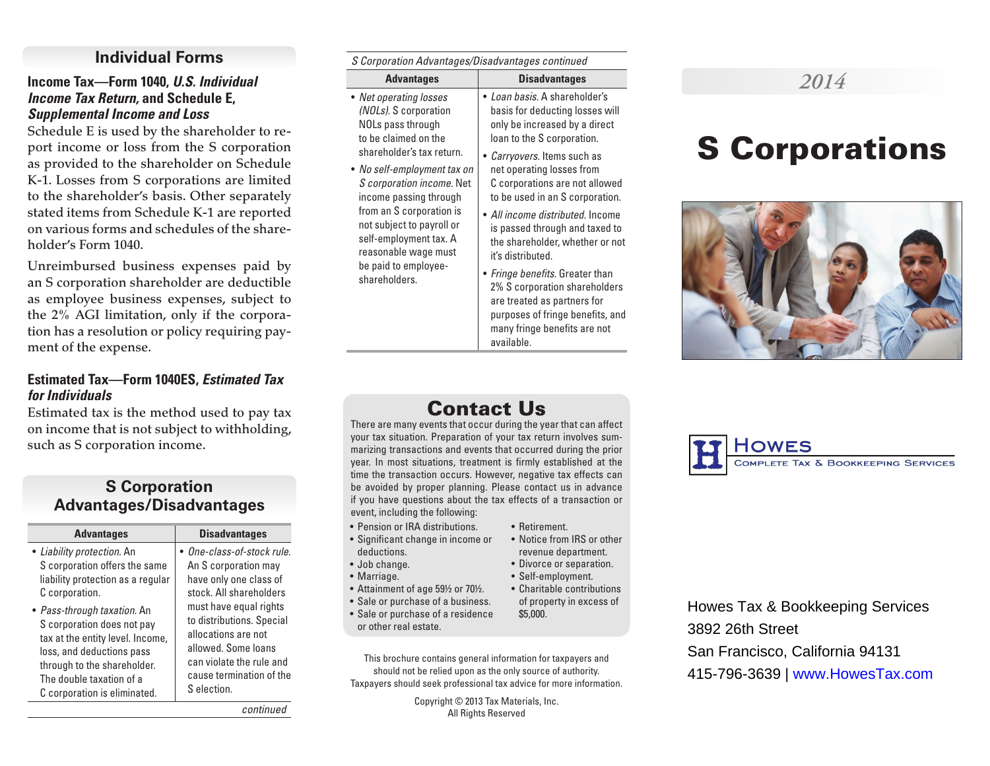# **Individual Forms**

#### **Income Tax—Form 1040,** *U.S. Individual Income Tax Return,* **and Schedule E,**  *Supplemental Income and Loss*

Schedule E is used by the shareholder to report income or loss from the S corporation as provided to the shareholder on Schedule K-1. Losses from S corporations are limited to the shareholder's basis. Other separately stated items from Schedule K-1 are reported on various forms and schedules of the shareholder's Form 1040.

Unreimbursed business expenses paid by an S corporation shareholder are deductible as employee business expenses, subject to the 2% AGI limitation, only if the corporation has a resolution or policy requiring payment of the expense.

#### **Estimated Tax—Form 1040ES,** *Estimated Tax for Individuals*

Estimated tax is the method used to pay tax on income that is not subject to withholding, such as S corporation income.

# **S Corporation Advantages/Disadvantages**

| <b>Advantages</b>                  | <b>Disadvantages</b>       |
|------------------------------------|----------------------------|
| • Liability protection. An         | • One-class-of-stock rule. |
| S corporation offers the same      | An S corporation may       |
| liability protection as a regular  | have only one class of     |
| C corporation.                     | stock. All shareholders    |
| • <i>Pass-through taxation.</i> An | must have equal rights     |
| S corporation does not pay         | to distributions. Special  |
| tax at the entity level. Income,   | allocations are not        |
| loss, and deductions pass          | allowed. Some loans        |
| through to the shareholder.        | can violate the rule and   |
| The double taxation of a           | cause termination of the   |
| C corporation is eliminated.       | S election.                |

*S Corporation Advantages/Disadvantages continued*

| <b>Advantages</b>                                                                            | <b>Disadvantages</b>                                                                                                            |
|----------------------------------------------------------------------------------------------|---------------------------------------------------------------------------------------------------------------------------------|
| • Net operating losses<br>(NOLs). S corporation<br>NOLs pass through<br>to be claimed on the | · Loan basis. A shareholder's<br>basis for deducting losses will<br>only be increased by a direct<br>loan to the S corporation. |
| shareholder's tax return.                                                                    | • Carryovers. Items such as                                                                                                     |
| • No self-employment tax on                                                                  | net operating losses from                                                                                                       |

*S corporation income.* Net income passing through from an S corporation is not subject to payroll or self-employment tax. A reasonable wage must be paid to employee-C corporations are not allowed to be used in an S corporation. • *All income distributed.* Income is passed through and taxed to the shareholder, whether or not it's distributed.

shareholders.

• *Fringe benefits.* Greater than 2% S corporation shareholders are treated as partners for purposes of fringe benefits, and many fringe benefits are not available.

# *2014*

# S Corporations



# Contact Us

There are many events that occur during the year that can affect your tax situation. Preparation of your tax return involves summarizing transactions and events that occurred during the prior year. In most situations, treatment is firmly established at the time the transaction occurs. However, negative tax effects can be avoided by proper planning. Please contact us in advance if you have questions about the tax effects of a transaction or event, including the following:

- Pension or IRA distributions.
- Significant change in income or deductions.
- Job change.
- Marriage.
- Attainment of age 59½ or 70½.
- Sale or purchase of a business.
- Sale or purchase of a residence or other real estate.
- This brochure contains general information for taxpayers and should not be relied upon as the only source of authority. Taxpayers should seek professional tax advice for more information.

Copyright © 2013 Tax Materials, Inc. All Rights Reserved



Howes Tax & Bookkeeping Services 3892 26th Street San Francisco, California 94131 415-796-3639 | www.HowesTax.com

*continued*

\$5,000.

#### revenue department. • Divorce or separation.

• Retirement.

- Self-employment. • Charitable contributions
- of property in excess of

• Notice from IRS or other